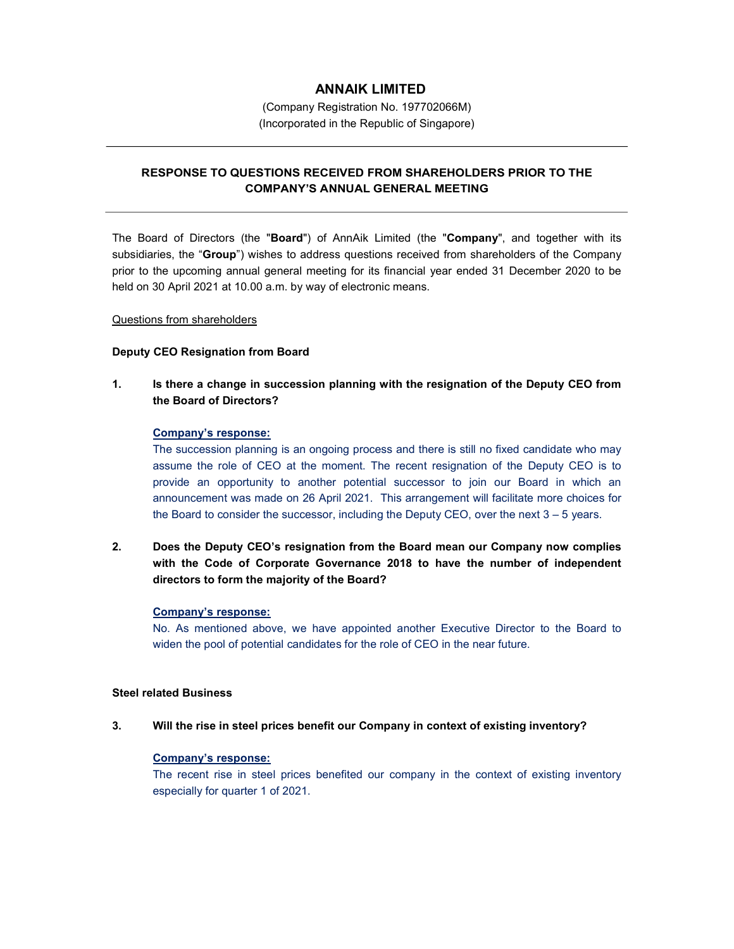# ANNAIK LIMITED

(Company Registration No. 197702066M) (Incorporated in the Republic of Singapore)

# RESPONSE TO QUESTIONS RECEIVED FROM SHAREHOLDERS PRIOR TO THE COMPANY'S ANNUAL GENERAL MEETING

The Board of Directors (the "Board") of AnnAik Limited (the "Company", and together with its subsidiaries, the "Group") wishes to address questions received from shareholders of the Company prior to the upcoming annual general meeting for its financial year ended 31 December 2020 to be held on 30 April 2021 at 10.00 a.m. by way of electronic means.

### Questions from shareholders

### Deputy CEO Resignation from Board

1. Is there a change in succession planning with the resignation of the Deputy CEO from the Board of Directors?

### Company's response:

The succession planning is an ongoing process and there is still no fixed candidate who may assume the role of CEO at the moment. The recent resignation of the Deputy CEO is to provide an opportunity to another potential successor to join our Board in which an announcement was made on 26 April 2021. This arrangement will facilitate more choices for the Board to consider the successor, including the Deputy CEO, over the next 3 – 5 years.

2. Does the Deputy CEO's resignation from the Board mean our Company now complies with the Code of Corporate Governance 2018 to have the number of independent directors to form the majority of the Board?

### Company's response:

No. As mentioned above, we have appointed another Executive Director to the Board to widen the pool of potential candidates for the role of CEO in the near future.

### Steel related Business

### 3. Will the rise in steel prices benefit our Company in context of existing inventory?

### Company's response:

The recent rise in steel prices benefited our company in the context of existing inventory especially for quarter 1 of 2021.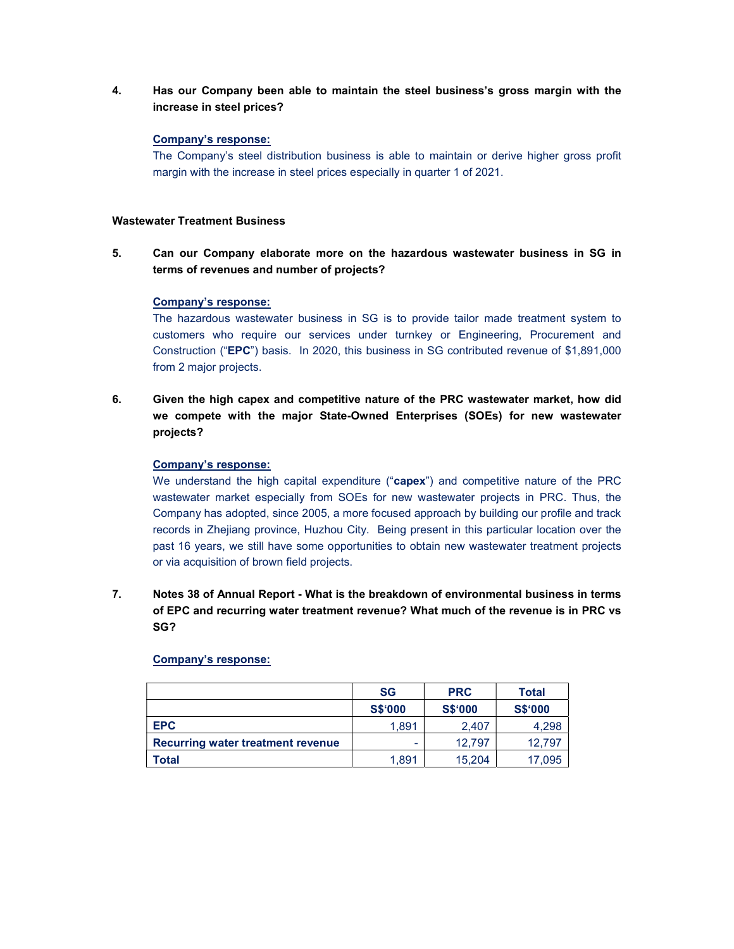4. Has our Company been able to maintain the steel business's gross margin with the increase in steel prices?

#### Company's response:

The Company's steel distribution business is able to maintain or derive higher gross profit margin with the increase in steel prices especially in quarter 1 of 2021.

#### Wastewater Treatment Business

5. Can our Company elaborate more on the hazardous wastewater business in SG in terms of revenues and number of projects?

#### Company's response:

The hazardous wastewater business in SG is to provide tailor made treatment system to customers who require our services under turnkey or Engineering, Procurement and Construction ("EPC") basis. In 2020, this business in SG contributed revenue of \$1,891,000 from 2 major projects.

6. Given the high capex and competitive nature of the PRC wastewater market, how did we compete with the major State-Owned Enterprises (SOEs) for new wastewater projects?

### Company's response:

We understand the high capital expenditure ("capex") and competitive nature of the PRC wastewater market especially from SOEs for new wastewater projects in PRC. Thus, the Company has adopted, since 2005, a more focused approach by building our profile and track records in Zhejiang province, Huzhou City. Being present in this particular location over the past 16 years, we still have some opportunities to obtain new wastewater treatment projects or via acquisition of brown field projects.

7. Notes 38 of Annual Report - What is the breakdown of environmental business in terms of EPC and recurring water treatment revenue? What much of the revenue is in PRC vs SG?

|                                   | <b>SG</b>      | <b>PRC</b>     | Total          |
|-----------------------------------|----------------|----------------|----------------|
|                                   | <b>S\$'000</b> | <b>S\$'000</b> | <b>S\$'000</b> |
| <b>EPC</b>                        | 1.891          | 2.407          | 4,298          |
| Recurring water treatment revenue | -              | 12,797         | 12.797         |
| Total                             | 1.891          | 15,204         | 17,095         |

### Company's response: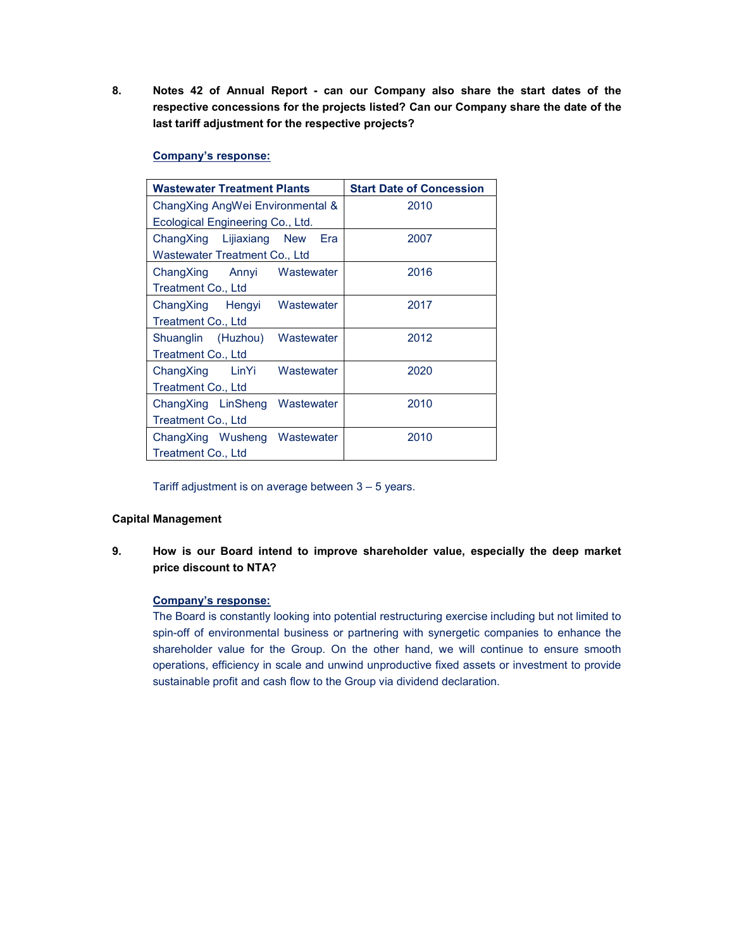8. Notes 42 of Annual Report - can our Company also share the start dates of the respective concessions for the projects listed? Can our Company share the date of the last tariff adjustment for the respective projects?

### Company's response:

| <b>Wastewater Treatment Plants</b>        | <b>Start Date of Concession</b> |  |  |
|-------------------------------------------|---------------------------------|--|--|
| ChangXing AngWei Environmental &          | 2010                            |  |  |
| Ecological Engineering Co., Ltd.          |                                 |  |  |
| ChangXing Lijiaxiang<br><b>New</b><br>Era | 2007                            |  |  |
| Wastewater Treatment Co., Ltd             |                                 |  |  |
| Wastewater<br>ChangXing<br>Annyi          | 2016                            |  |  |
| Treatment Co., Ltd                        |                                 |  |  |
| Wastewater<br>ChangXing Hengyi            | 2017                            |  |  |
| Treatment Co., Ltd                        |                                 |  |  |
| Shuanglin (Huzhou)<br>Wastewater          | 2012                            |  |  |
| Treatment Co., Ltd                        |                                 |  |  |
| Wastewater<br>ChangXing<br>LinYi          | 2020                            |  |  |
| Treatment Co., Ltd                        |                                 |  |  |
| ChangXing LinSheng<br>Wastewater          | 2010                            |  |  |
| <b>Treatment Co., Ltd</b>                 |                                 |  |  |
| ChangXing Wusheng<br>Wastewater           | 2010                            |  |  |
| Treatment Co., Ltd                        |                                 |  |  |

Tariff adjustment is on average between 3 – 5 years.

## Capital Management

9. How is our Board intend to improve shareholder value, especially the deep market price discount to NTA?

### Company's response:

The Board is constantly looking into potential restructuring exercise including but not limited to spin-off of environmental business or partnering with synergetic companies to enhance the shareholder value for the Group. On the other hand, we will continue to ensure smooth operations, efficiency in scale and unwind unproductive fixed assets or investment to provide sustainable profit and cash flow to the Group via dividend declaration.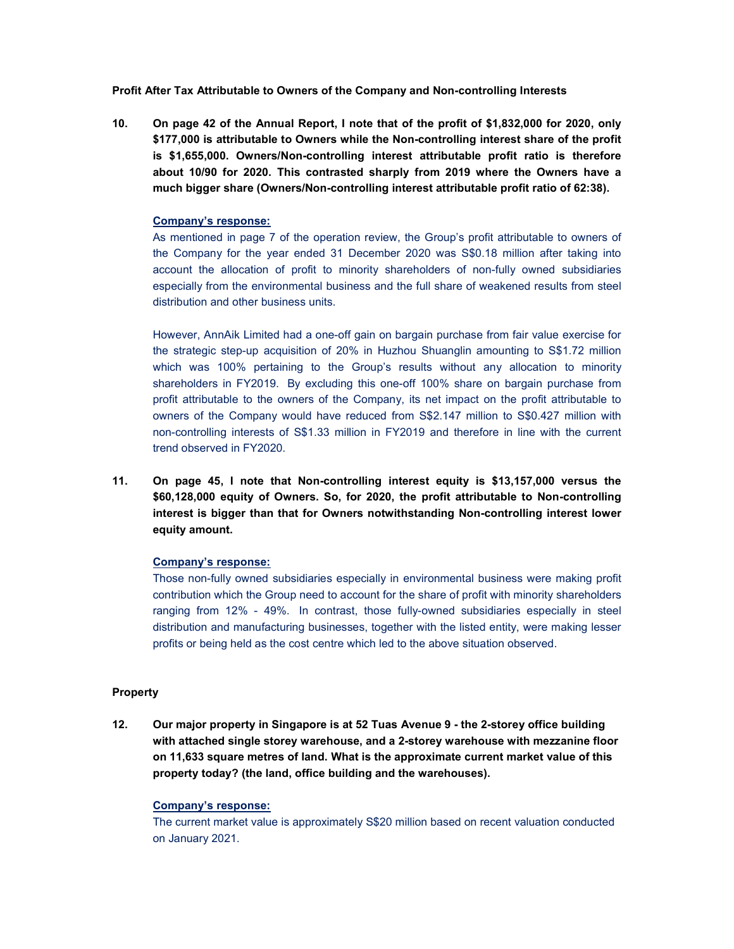Profit After Tax Attributable to Owners of the Company and Non-controlling Interests

10. On page 42 of the Annual Report, I note that of the profit of \$1,832,000 for 2020, only \$177,000 is attributable to Owners while the Non-controlling interest share of the profit is \$1,655,000. Owners/Non-controlling interest attributable profit ratio is therefore about 10/90 for 2020. This contrasted sharply from 2019 where the Owners have a much bigger share (Owners/Non-controlling interest attributable profit ratio of 62:38).

### Company's response:

As mentioned in page 7 of the operation review, the Group's profit attributable to owners of the Company for the year ended 31 December 2020 was S\$0.18 million after taking into account the allocation of profit to minority shareholders of non-fully owned subsidiaries especially from the environmental business and the full share of weakened results from steel distribution and other business units.

However, AnnAik Limited had a one-off gain on bargain purchase from fair value exercise for the strategic step-up acquisition of 20% in Huzhou Shuanglin amounting to S\$1.72 million which was 100% pertaining to the Group's results without any allocation to minority shareholders in FY2019. By excluding this one-off 100% share on bargain purchase from profit attributable to the owners of the Company, its net impact on the profit attributable to owners of the Company would have reduced from S\$2.147 million to S\$0.427 million with non-controlling interests of S\$1.33 million in FY2019 and therefore in line with the current trend observed in FY2020.

11. On page 45, I note that Non-controlling interest equity is \$13,157,000 versus the \$60,128,000 equity of Owners. So, for 2020, the profit attributable to Non-controlling interest is bigger than that for Owners notwithstanding Non-controlling interest lower equity amount.

## Company's response:

Those non-fully owned subsidiaries especially in environmental business were making profit contribution which the Group need to account for the share of profit with minority shareholders ranging from 12% - 49%. In contrast, those fully-owned subsidiaries especially in steel distribution and manufacturing businesses, together with the listed entity, were making lesser profits or being held as the cost centre which led to the above situation observed.

### Property

12. Our major property in Singapore is at 52 Tuas Avenue 9 - the 2-storey office building with attached single storey warehouse, and a 2-storey warehouse with mezzanine floor on 11,633 square metres of land. What is the approximate current market value of this property today? (the land, office building and the warehouses).

### Company's response:

The current market value is approximately S\$20 million based on recent valuation conducted on January 2021.